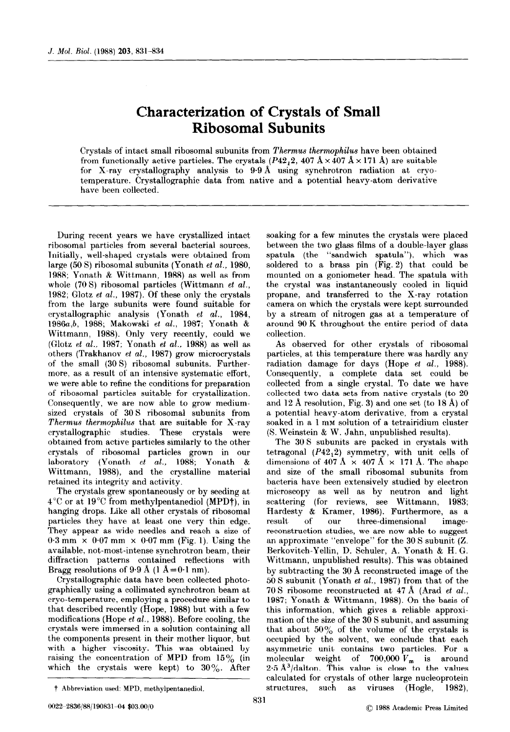## Characterization of Crystals of Small Ribosomal Subunits

Crystals of intact small ribosomal subunits from Thermus thermophilus have been obtained from functionally active particles. The crystals  $(P42<sub>1</sub>2, 407 \text{ Å} \times 407 \text{ Å} \times 171 \text{ Å})$  are suitable for X-ray crystallography analysis to 9.9 A using synchrotron radiation at cryotemperature. Crystallographic data from native and a potential heavy-atom derivative have been collected.

During recent years we have crystallized intact ribosomal particles from several bacterial sources. Initially, well-shaped crystals were obtained from large (50 S) ribosomal subunits (Yonath et al., 1980, 1988; Yonath & Wittmann, 1988) as well as from whole  $(70 S)$  ribosomal particles (Wittmann et al., 1982; Glotz et al., 1987). Of these only the crystals from the large subunits were found suitable for crystallographic analysis (Yonath et al., 1984, 1986a,b, 1988; Makowski et al., 1987; Yonath & Wittmann, 1988). Only very recently, could we (Glotz et al., 1987; Yonath et al., 1988) as well as others (Trakhanov et al., 1987) grow microcrystals of the small (30 S) ribosomal subunits. Furthermore, as a result of an intensive systematic effort, we were able to refine the conditions for preparation of ribosomal particles suitable for crystallization. Consequently, we are now able to grow mediumsized crystals of 30 S ribosomal subunits from Thermus thermophilus that are suitable for X-ray crystallographic studies. These crystals were obtained from active particles similarly to the other crystals of ribosomal particles grown in our laboratory (Yonath et al., 1988; Yonath & Wittmann, 1988), and the crystalline material retained its integrity and activity.

The crystals grew spontaneously or by seeding at  $4^{\circ}$ C or at  $19^{\circ}$ C from methylpentanediol (MPD†), in hanging drops. Like all other crystals of ribosomal particles they have at least one very thin edge. They appear as wide needles and reach a size of  $0.3 \text{ mm} \times 0.07 \text{ mm} \times 0.07 \text{ mm}$  (Fig. 1). Using the available, not-most-intense synchrotron beam, their diffraction patterns contained reflections with Bragg resolutions of  $9.9 \text{ Å}$  (1 A =  $0.1 \text{ nm}$ ).

Crystallographic data have been collected photographically using a collimated synchrotron beam at cryo-temperature, employing a procedure similar to that described recently (Hope, 1988) but with a few modifications (Hope et al., 1988). Before cooling, the crystals were immersed in a solution containing all the components present in their mother liquor, but with a higher viscosity. This was obtained by raising the concentration of MPD from  $15\%$  (in which the crystals were kept) to  $30\%$ . After

soaking for a few minutes the crystals were placed between the two glass films of a double-layer glass spatula (the "sandwich spatula"). which was soldered to a brass pin (Fig. 2) that could be mounted on a goniometer head. The spatula with the crystal was instantaneously cooled in liquid propane, and transferred to the X-ray rotation camera on which the crystals were kept surrounded by a stream of nitrogen gas at a temperature of around 90 K throughout the entire period of data collection.

As observed for other crystals of ribosomal particles, at this temperature there was hardly any radiation damage for days (Hope et al., 1988). Consequently, a complete data set could be collected from a single crystal. To date we have collected two data sets from native crystals (to 20 and 12 Å resolution, Fig. 3) and one set (to  $18 \text{ Å}$ ) of a potential heavy-atom derivative, from a crystal soaked in a 1 mM solution of a tetrairidium cluster (S. Weinstein & W. Jahn, unpublished results).

The 30 S subunits are packed in crystals with tetragonal  $(P42<sub>1</sub>2)$  symmetry, with unit cells of dimensions of 407 Å  $\times$  407 Å  $\times$  171 Å. The shape and size of the small ribosomal subunits from bacteria have been extensively studied by electron microscopy as well as by neutron and light scattering (for reviews, see Wittmann, 1983; Hardesty & Kramer, 1986). Furthermore, as a result, of our three-dimensional imagereconstruction studies, we are now able to suggest an approximate "envelope" for the 30 S subunit (Z. Berkovitch-Yellin, D. Schuler, A. Yonath & H. G. Wittmann, unpublished results). This was obtained by subtracting the 30 A reconstructed image of the 50 S subunit (Yonath et al., 1987) from that of the 70 S ribosome reconstructed at 47 A (Arad et al., 1987; Yonath & Wittmann, 1988). On the basis of this information, which gives a reliable approximation of the size of the 30 S subunit, and assuming that about  $50\%$  of the volume of the crystals is occupied by the solvent, we conclude that each asymmetric unit contains two particles. For a molecular weight of  $700,000$   $V_m$  is around  $2.5 \text{ Å}^3/\text{dalton}$ . This value is close to the values calculated for crystals of other large nucleoprotein structures, such as viruses (Hogle, 1982),

t Abbreviation used: MPD, methylpentanediol.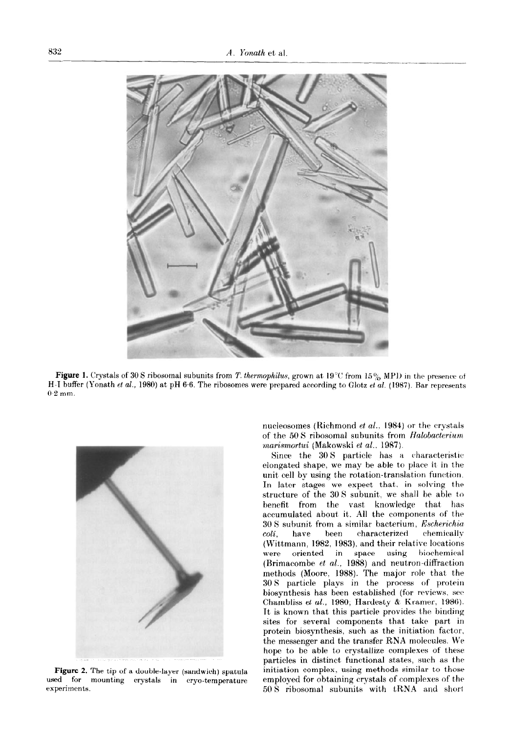

Figure 1. Crystals of 30 S ribosomal subunits from T. thermophilus, grown at 19°C from 15% MPD in the presence of H-I buffer (Yonath et al., 1980) at pH 6.6. The ribosomes were prepared according to Glotz et al. (1987). Bar represents  $0.2$  mm.



Figure 2. The tip of a double-layer (sandwich) spatula used for mounting crystals in cryo-temperature experiments.

nucleosomes (Richmond et al., 1984) or the crystals of the 50 S ribosomal subunits from Halobacterium marismortui (Makowski et al., 1987).

Since the 30 S particle has a characteristic elongated shape, we may be able to place it in the unit cell by using the rotation-translation function. In later stages we expect that. in solving the structure of the 30 S subunit. we shall be able to benefit from the vast knowledge that has accumulated about it. All the components of the  $30 S$  subunit from a similar bacterium. Escherichia  $\textit{coli}$ , have been characterized chemically (Wittmann, 1982, 1983), and their relative locations were oriented in space using biochemical (Brimacombe et al., 1988) and neutron-diffraction methods (Moore, 1988). The major role that the 30 S particle plays in the process of protein biosynthesis has been established (for reviews, see Chambliss et al., 1980; Hardesty & Kramer, 1986). It is known that this particle provides the binding sites for several components that take part in protein biosynthesis, such as the initiation factor, the messenger and the transfer RNA molecules. We hope to be able to crystallize complexes of these particles in distinct functional states, such as the initiation complex, using methods similar to those employed for obtaining crystals of complexes of the 50 S ribosomal subunits with tRNA and short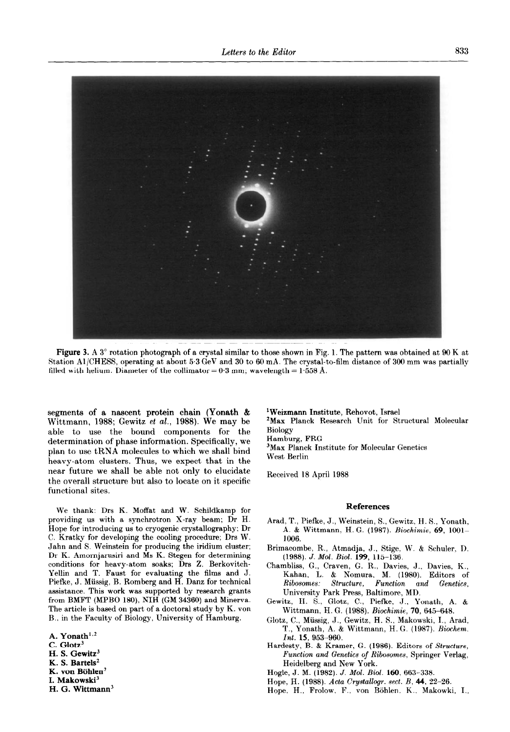

Figure 3. A 3° rotation photograph of a crystal similar to those shown in Fig. 1. The pattern was obtained at 90 K at Station Al/CHESS, operating at about 5.3 GeV and 30 to 60 mA. The crystal-to-film distance of 309 mm was partially filled with helium. Diameter of the collimator =  $0.3$  mm; wavelength =  $1.558$  Å.

segments of a nascent protein chain (Yonath & Wittmann, 1988; Gewitz et al., 1988). We may be able to use the bound components for the determination of phase information. Specifically, we plan to use tRNA molecules to which we shall bind heavy-atom clusters. Thus, we expect that in the near future we shall be able not only to elucidate the overall structure but also to locate on it specific functional sites.

We thank: Drs K. Moffat and W. Schildkamp for providing us with a synchrotron X-ray beam; Dr H. Hope for introducing us to cryogenic crystallography; Dr C. Kratky for developing the cooling procedure; Drs W. Jahn and S. Weinstein for producing the iridium cluster; Dr K. Amornjarusiri and MS K. Stegen for determining conditions for heavy-atom soaks; Drs Z. Berkovitch-Yellin and T. Faust for evaluating the films and J. Piefke, J. Miissig, B. Romberg and H. Danz for technical assistance. This work was supported by research grants from BMFT (MPBO 180), NIH (GM 34360) and Minerva. The article is based on part of a doctoral study by K. von B.. in the Faculty of Biology, University of Hamburg.

A. Yonath $1.2$ C. Glotz<sup>3</sup> H. S. Gewitz $3$ K. S. Bartels' K. von Böhlen<sup>2</sup> I. Makowski<sup>3</sup> H. G. Wittmann<sup>3</sup> 'Weizmann Institute, Rehovot, Israel

'Max Planck Research Unit for Structural Molecular Biology Hamburg, FRG

3Max Planck Institute for Molecular Genetics West Berlin

Received 18 April 1988

## References

- Arad, T., Piefke, J., Weinstein, S., Gewitz, H. S., Yonath, A. & Wittmann. H. G. (1987). Riochimie, 69, lOOl-1096.
- Brimacombe, R., Atmadja, J., Stige. W. &. Schuler, D. (1988). J. Mol. Biol. 199, 115-136.
- Chambliss, G., Craven, G. R., Davies, J., Davies, K., Kahan, L. & Nomura, M. (1980). Editors of Ribosomes: Structure, Function and Genetics, University Park Press, Baltimore, MD.
- Gewitz, H. S., Glotz, C., Piefke, J., Yonath, A. & Wittmann, H. G. (1988). Biochimie, 70, 645-648.
- Glotz, C., Miissig, J., Gewitz, H. S., Makowski, I., Arad, T., Yonath, A. & Wittmann, H. G. (1987). Biochem. Int. 15, 953-960.
- Hardesty, B. & Kramer, G. (1986). Editors of Structure, Function and Genetics of Ribosomes, Springer Verlag, Heidelberg and New York.
- Hogle, J. M. (1982). J. Mol. Biol. 160, 663-338.
- Hope, H. (1988). Acta Crystallogr. sect. B, 44, 22-26.
- Hope, H., Frolow, F., von Böhlen, K., Makowki, I.,